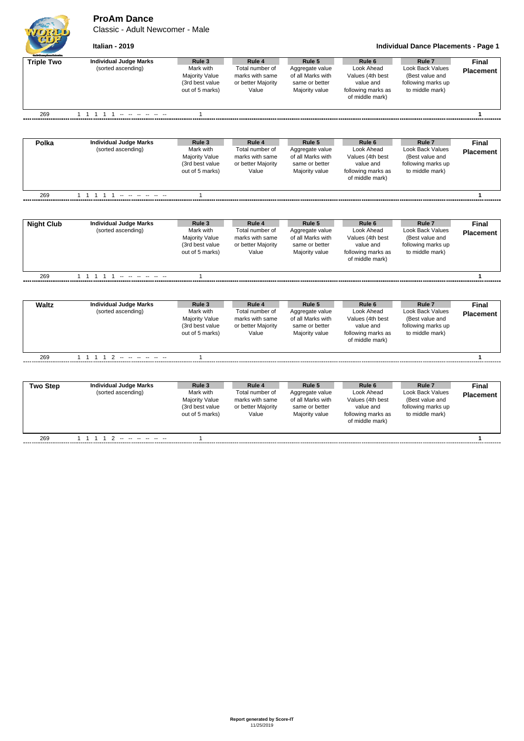**ProAm Dance**

Classic - Adult Newcomer - Male



**Italian - 2019 Individual Dance Placements - Page 1**

| <b>Suit Grate Drawfolent</b><br><b>Triple Two</b> | <b>Individual Judge Marks</b><br>(sorted ascending) | Rule 3<br>Mark with                                         | Rule 4                                                            | Rule 5                                                                   | Rule <sub>6</sub>                                                 | Rule <sub>7</sub>                                                                   | <b>Final</b>     |
|---------------------------------------------------|-----------------------------------------------------|-------------------------------------------------------------|-------------------------------------------------------------------|--------------------------------------------------------------------------|-------------------------------------------------------------------|-------------------------------------------------------------------------------------|------------------|
|                                                   |                                                     | <b>Majority Value</b><br>(3rd best value<br>out of 5 marks) | Total number of<br>marks with same<br>or better Majority<br>Value | Aggregate value<br>of all Marks with<br>same or better<br>Majority value | Look Ahead<br>Values (4th best<br>value and<br>following marks as | <b>Look Back Values</b><br>(Best value and<br>following marks up<br>to middle mark) | <b>Placement</b> |
|                                                   |                                                     |                                                             |                                                                   |                                                                          | of middle mark)                                                   |                                                                                     |                  |
| 269                                               | 1 1 1 1 1 - - - - - -                               | $\mathbf{1}$                                                |                                                                   |                                                                          |                                                                   |                                                                                     | $\mathbf{1}$     |
|                                                   |                                                     |                                                             |                                                                   |                                                                          |                                                                   |                                                                                     |                  |
| Polka                                             | <b>Individual Judge Marks</b>                       | Rule 3                                                      | Rule 4                                                            | Rule 5                                                                   | Rule 6                                                            | Rule <sub>7</sub>                                                                   | Final            |
|                                                   | (sorted ascending)                                  | Mark with<br><b>Majority Value</b>                          | Total number of<br>marks with same                                | Aggregate value<br>of all Marks with                                     | Look Ahead<br>Values (4th best                                    | <b>Look Back Values</b><br>(Best value and                                          | <b>Placement</b> |
|                                                   |                                                     | (3rd best value                                             | or better Majority                                                | same or better                                                           | value and                                                         | following marks up                                                                  |                  |
|                                                   |                                                     | out of 5 marks)                                             | Value                                                             | Majority value                                                           | following marks as                                                | to middle mark)                                                                     |                  |
|                                                   |                                                     |                                                             |                                                                   |                                                                          | of middle mark)                                                   |                                                                                     |                  |
| 269                                               | 1 1 1 1 1 - - - - - -                               | $\mathbf{1}$                                                |                                                                   |                                                                          |                                                                   |                                                                                     | $\mathbf{1}$     |
|                                                   |                                                     |                                                             |                                                                   |                                                                          |                                                                   |                                                                                     |                  |
| <b>Night Club</b>                                 | <b>Individual Judge Marks</b>                       | Rule 3                                                      | Rule 4                                                            | Rule 5                                                                   | Rule <sub>6</sub>                                                 | Rule <sub>7</sub>                                                                   | <b>Final</b>     |
|                                                   | (sorted ascending)                                  | Mark with                                                   | Total number of                                                   | Aggregate value                                                          | Look Ahead                                                        | <b>Look Back Values</b>                                                             | <b>Placement</b> |
|                                                   |                                                     | <b>Majority Value</b>                                       | marks with same                                                   | of all Marks with                                                        | Values (4th best                                                  | (Best value and                                                                     |                  |
|                                                   |                                                     | (3rd best value<br>out of 5 marks)                          | or better Majority<br>Value                                       | same or better                                                           | value and<br>following marks as                                   | following marks up<br>to middle mark)                                               |                  |
|                                                   |                                                     |                                                             |                                                                   | Majority value                                                           | of middle mark)                                                   |                                                                                     |                  |
| 269                                               | 1 1 1 1 1 - - - - - -                               | $\mathbf{1}$                                                |                                                                   |                                                                          |                                                                   |                                                                                     | $\mathbf{1}$     |
|                                                   |                                                     |                                                             |                                                                   |                                                                          |                                                                   |                                                                                     |                  |
| <b>Waltz</b>                                      | <b>Individual Judge Marks</b>                       | Rule 3                                                      | Rule 4                                                            | Rule 5                                                                   | Rule <sub>6</sub>                                                 | Rule <sub>7</sub>                                                                   | <b>Final</b>     |
|                                                   | (sorted ascending)                                  | Mark with                                                   | Total number of                                                   | Aggregate value                                                          | Look Ahead                                                        | Look Back Values                                                                    | <b>Placement</b> |
|                                                   |                                                     | <b>Majority Value</b>                                       | marks with same                                                   | of all Marks with                                                        | Values (4th best                                                  | (Best value and                                                                     |                  |
|                                                   |                                                     | (3rd best value<br>out of 5 marks)                          | or better Majority<br>Value                                       | same or better<br>Majority value                                         | value and<br>following marks as                                   | following marks up<br>to middle mark)                                               |                  |
|                                                   |                                                     |                                                             |                                                                   |                                                                          | of middle mark)                                                   |                                                                                     |                  |
| 269                                               | $1 1 1 1 2 - - - - - - -$                           | $\mathbf{1}$                                                |                                                                   |                                                                          |                                                                   |                                                                                     | 1                |
|                                                   |                                                     |                                                             |                                                                   |                                                                          |                                                                   |                                                                                     |                  |
| <b>Two Step</b>                                   | <b>Individual Judge Marks</b>                       | Rule 3                                                      | Rule 4                                                            | Rule 5                                                                   | Rule <sub>6</sub>                                                 | Rule <sub>7</sub>                                                                   | <b>Final</b>     |
|                                                   | (sorted ascending)                                  | Mark with                                                   | Total number of                                                   | Aggregate value                                                          | Look Ahead                                                        | <b>Look Back Values</b>                                                             | <b>Placement</b> |
|                                                   |                                                     | <b>Majority Value</b>                                       | marks with same                                                   | of all Marks with                                                        | Values (4th best                                                  | (Best value and                                                                     |                  |
|                                                   |                                                     | (3rd best value                                             | or better Majority                                                | same or better                                                           | value and                                                         | following marks up                                                                  |                  |
|                                                   |                                                     | out of 5 marks)                                             | Value                                                             | Majority value                                                           | following marks as<br>of middle mark)                             | to middle mark)                                                                     |                  |
| 269                                               | $1 1 1 1 2 - - - - - - -$                           | $\mathbf{1}$                                                |                                                                   |                                                                          |                                                                   |                                                                                     | $\mathbf{1}$     |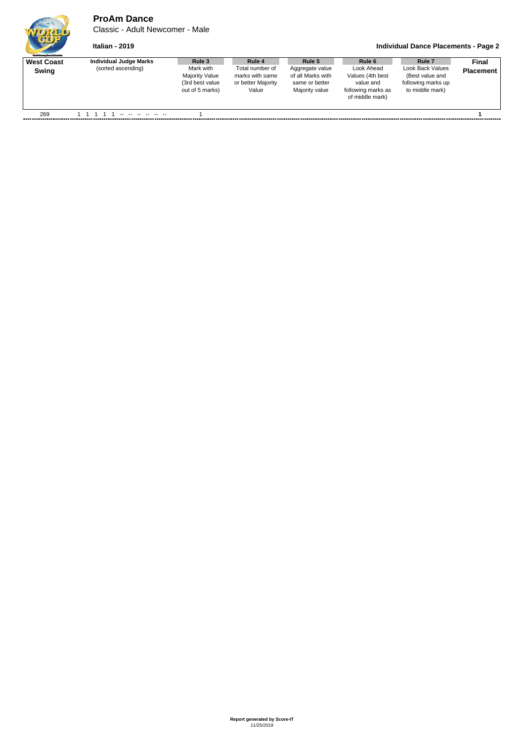## **ProAm Dance**

Classic - Adult Newcomer - Male

## **Italian - 2019 Individual Dance Placements - Page 2**

| <b>Guild Grantee Devent School and</b> |                               |                                                                           |                                                                   |                                                                          |                                                                                      |                                                                              |                  |
|----------------------------------------|-------------------------------|---------------------------------------------------------------------------|-------------------------------------------------------------------|--------------------------------------------------------------------------|--------------------------------------------------------------------------------------|------------------------------------------------------------------------------|------------------|
| <b>West Coast</b>                      | <b>Individual Judge Marks</b> | Rule 3                                                                    | Rule 4                                                            | Rule 5                                                                   | Rule 6                                                                               | Rule <sub>7</sub>                                                            | <b>Final</b>     |
| Swing                                  | (sorted ascending)            | Mark with<br><b>Majority Value</b><br>(3rd best value)<br>out of 5 marks) | Total number of<br>marks with same<br>or better Majority<br>Value | Aggregate value<br>of all Marks with<br>same or better<br>Majority value | Look Ahead<br>Values (4th best<br>value and<br>following marks as<br>of middle mark) | Look Back Values<br>(Best value and<br>following marks up<br>to middle mark) | <b>Placement</b> |
| 269                                    |                               |                                                                           |                                                                   |                                                                          |                                                                                      |                                                                              |                  |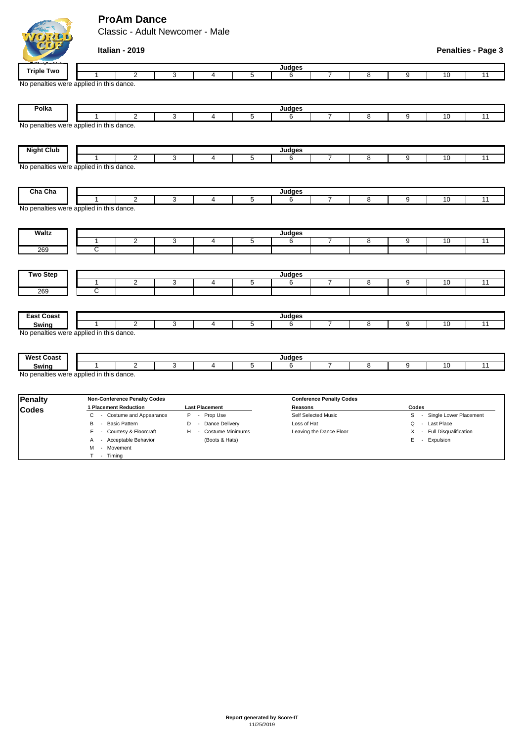## **ProAm Dance**

Classic - Adult Newcomer - Male

|                   | Italian - 2019                           |                       |                |               |                                 |                |                |                            | <b>Penalties - Page 3</b> |
|-------------------|------------------------------------------|-----------------------|----------------|---------------|---------------------------------|----------------|----------------|----------------------------|---------------------------|
| <b>Triple Two</b> |                                          |                       |                | <b>Judges</b> |                                 |                |                |                            |                           |
|                   | $\overline{2}$                           | 3<br>4                | 5              | 6             | 7                               | 8              | $\overline{9}$ | 10                         | 11                        |
|                   | No penalties were applied in this dance. |                       |                |               |                                 |                |                |                            |                           |
| Polka             |                                          |                       |                | Judges        |                                 |                |                |                            |                           |
|                   | $\overline{2}$                           | 3<br>$\overline{4}$   | $\overline{5}$ | 6             | 7                               | $\overline{8}$ | $\overline{9}$ | 10                         | $\overline{11}$           |
|                   | No penalties were applied in this dance. |                       |                |               |                                 |                |                |                            |                           |
| <b>Night Club</b> |                                          |                       |                | <b>Judges</b> |                                 |                |                |                            |                           |
|                   | $\overline{2}$                           | 3<br>4                | 5              | 6             | $\overline{7}$                  | 8              | 9              | 10                         | 11                        |
|                   | No penalties were applied in this dance. |                       |                |               |                                 |                |                |                            |                           |
| Cha Cha           | $\overline{2}$<br>1                      | 3<br>4                | 5              | Judges<br>6   | 7                               | 8              | 9              | 10                         | 11                        |
|                   | No penalties were applied in this dance. |                       |                |               |                                 |                |                |                            |                           |
| <b>Waltz</b>      |                                          |                       |                | Judges        |                                 |                |                |                            |                           |
|                   | $\overline{2}$<br>$\mathbf{1}$           | 3<br>$\overline{4}$   | $\overline{5}$ | 6             | 7                               | $\overline{8}$ | $\overline{9}$ | 10                         | $\overline{11}$           |
| 269               | ਟ                                        |                       |                |               |                                 |                |                |                            |                           |
|                   |                                          |                       |                |               |                                 |                |                |                            |                           |
| <b>Two Step</b>   | $\overline{2}$<br>$\mathbf{1}$           | 3<br>4                | $\overline{5}$ | Judges<br>6   | 7                               | $\overline{8}$ | $\overline{9}$ | 10                         | 11                        |
| 269               | C                                        |                       |                |               |                                 |                |                |                            |                           |
|                   |                                          |                       |                |               |                                 |                |                |                            |                           |
| <b>East Coast</b> | 1                                        |                       |                | <b>Judges</b> |                                 |                |                |                            |                           |
| Swing             | $\overline{2}$                           | 3<br>4                | $\overline{5}$ | 6             | 7                               | 8              | 9              | 10                         | $\overline{11}$           |
|                   | No penalties were applied in this dance. |                       |                |               |                                 |                |                |                            |                           |
| <b>West Coast</b> |                                          |                       |                | Judges        |                                 |                |                |                            |                           |
| Swing             | $\overline{2}$                           | 3<br>$\overline{4}$   | $\overline{5}$ | 6             | $\overline{7}$                  | 8              | 9              | 10                         | 11                        |
|                   | No penalties were applied in this dance. |                       |                |               |                                 |                |                |                            |                           |
| <b>Penalty</b>    | <b>Non-Conference Penalty Codes</b>      |                       |                |               | <b>Conference Penalty Codes</b> |                |                |                            |                           |
| <b>Codes</b>      | 1 Placement Reduction                    | <b>Last Placement</b> |                | Reasons       |                                 |                | Codes          |                            |                           |
|                   | C - Costume and Appearance               | P - Prop Use          |                |               | Self Selected Music             |                |                | S - Single Lower Placement |                           |

B - Basic Pattern **D** - Dance Delivery Loss of Hat **Loss of Hat Q - Last Place** F - Courtesy & Floorcraft H - Costume Minimums Leaving the Dance Floor X - Full Disqualification A - Acceptable Behavior (Boots & Hats) E - Expulsion M - Movement T - Timing